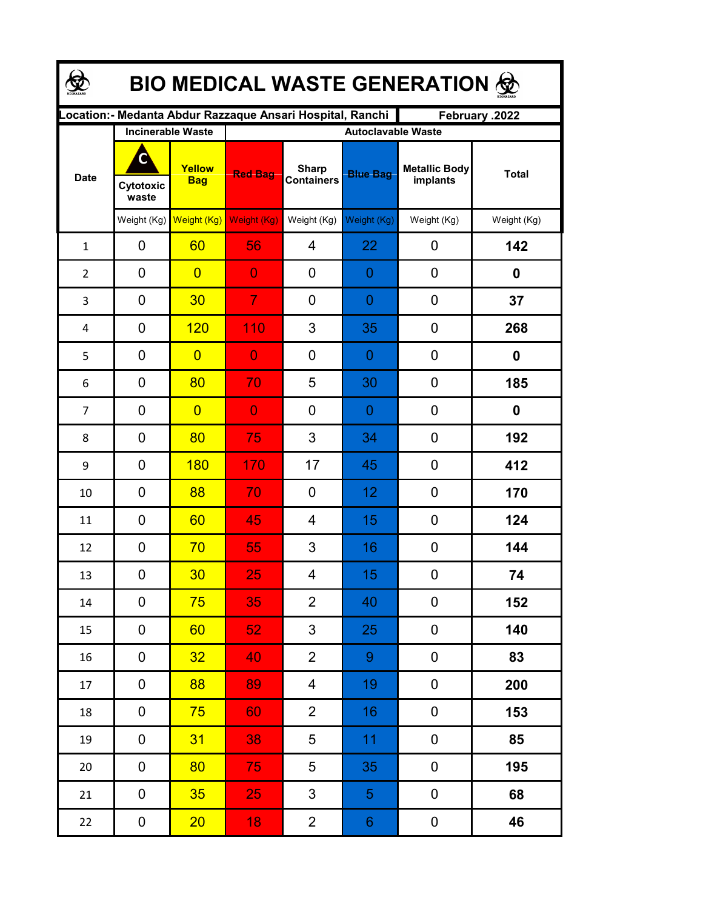| <b>BIO MEDICAL WASTE GENERATION ®</b> |                                                                             |                                                  |                |                                   |                                              |                                  |              |  |  |  |
|---------------------------------------|-----------------------------------------------------------------------------|--------------------------------------------------|----------------|-----------------------------------|----------------------------------------------|----------------------------------|--------------|--|--|--|
|                                       | ocation: - Medanta Abdur Razzaque Ansari Hospital, Ranchi<br>February .2022 |                                                  |                |                                   |                                              |                                  |              |  |  |  |
| <b>Date</b>                           | Cytotoxic<br>waste                                                          | <b>Incinerable Waste</b><br>Yellow<br><b>Bag</b> | <b>Red Bag</b> | <b>Sharp</b><br><b>Containers</b> | <b>Autoclavable Waste</b><br><b>Blue Bag</b> | <b>Metallic Body</b><br>implants | <b>Total</b> |  |  |  |
|                                       | Weight $(Kg)$                                                               | Weight (Kg)                                      | Weight (Kg)    | Weight (Kg)                       | Weight (Kg)                                  | Weight (Kg)                      | Weight (Kg)  |  |  |  |
| $\mathbf{1}$                          | 0                                                                           | 60                                               | 56             | 4                                 | 22                                           | 0                                | 142          |  |  |  |
| $\overline{2}$                        | 0                                                                           | $\overline{0}$                                   | $\overline{0}$ | 0                                 | 0                                            | 0                                | 0            |  |  |  |
| 3                                     | $\mathbf 0$                                                                 | 30                                               | $\overline{7}$ | 0                                 | 0                                            | 0                                | 37           |  |  |  |
| 4                                     | 0                                                                           | 120                                              | 110            | 3                                 | 35                                           | 0                                | 268          |  |  |  |
| 5                                     | 0                                                                           | $\overline{0}$                                   | $\overline{0}$ | 0                                 | 0                                            | 0                                | 0            |  |  |  |
| 6                                     | 0                                                                           | 80                                               | 70             | 5                                 | 30                                           | 0                                | 185          |  |  |  |
| $\overline{7}$                        | 0                                                                           | $\overline{0}$                                   | $\overline{0}$ | 0                                 | 0                                            | 0                                | 0            |  |  |  |
| 8                                     | 0                                                                           | 80                                               | 75             | 3                                 | 34                                           | 0                                | 192          |  |  |  |
| 9                                     | 0                                                                           | 180                                              | 170            | 17                                | 45                                           | 0                                | 412          |  |  |  |
| 10                                    | 0                                                                           | 88                                               | 70             | 0                                 | 12                                           | 0                                | 170          |  |  |  |
| 11                                    | 0                                                                           | 60                                               | 45             | 4                                 | 15                                           | 0                                | 124          |  |  |  |
| 12                                    | 0                                                                           | 70                                               | 55             | 3                                 | 16                                           | 0                                | 144          |  |  |  |
| 13                                    | 0                                                                           | 30 <sub>2</sub>                                  | 25             | 4                                 | <b>15</b>                                    | 0                                | 74           |  |  |  |
| 14                                    | 0                                                                           | 75                                               | 35             | $\overline{2}$                    | 40                                           | 0                                | 152          |  |  |  |
| 15                                    | 0                                                                           | 60                                               | 52             | $\mathfrak{S}$                    | 25                                           | 0                                | 140          |  |  |  |
| 16                                    | 0                                                                           | 32 <sub>2</sub>                                  | 40             | $\overline{2}$                    | 9                                            | 0                                | 83           |  |  |  |
| 17                                    | 0                                                                           | 88                                               | 89             | $\overline{4}$                    | 19                                           | $\boldsymbol{0}$                 | 200          |  |  |  |
| 18                                    | 0                                                                           | 75                                               | 60             | $\overline{2}$                    | 16                                           | 0                                | 153          |  |  |  |
| 19                                    | 0                                                                           | 31                                               | 38             | 5                                 | 11                                           | 0                                | 85           |  |  |  |
| 20                                    | 0                                                                           | 80                                               | 75             | 5                                 | 35                                           | 0                                | 195          |  |  |  |
| 21                                    | 0                                                                           | 35 <sub>2</sub>                                  | 25             | $\mathfrak{S}$                    | 5 <sub>1</sub>                               | 0                                | 68           |  |  |  |
| 22                                    | $\boldsymbol{0}$                                                            | 20 <sub>2</sub>                                  | 18             | $\overline{2}$                    | 6 <sup>1</sup>                               | 0                                | 46           |  |  |  |